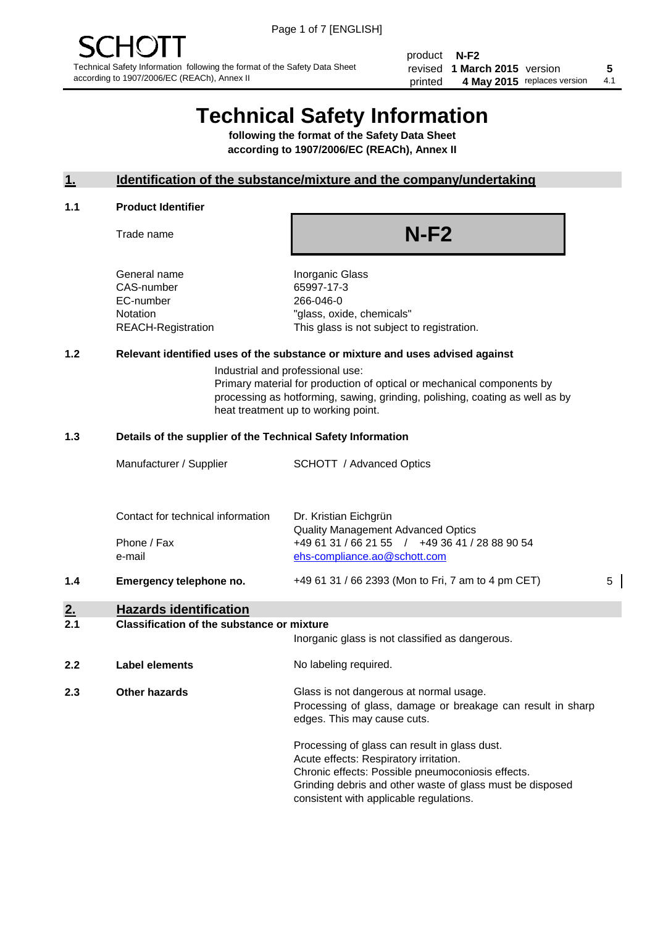product **N-F2** revised **5 1 March 2015** version printed 4 May 2015 replaces version 4.1

# **Technical Safety Information**

**following the format of the Safety Data Sheet according to 1907/2006/EC (REACh), Annex II**

#### **1. Identification of the substance/mixture and the company/undertaking**

#### **1.1 Product Identifier**

Trade name

## **N-F2**

General name **Inorganic Glass** CAS-number 65997-17-3 EC-number 266-046-0

Notation "glass, oxide, chemicals" REACH-Registration This glass is not subject to registration.

#### **1.2 Relevant identified uses of the substance or mixture and uses advised against**

Industrial and professional use: Primary material for production of optical or mechanical components by processing as hotforming, sawing, grinding, polishing, coating as well as by heat treatment up to working point.

#### **1.3 Details of the supplier of the Technical Safety Information**

|     | Manufacturer / Supplier           | SCHOTT / Advanced Optics                           |   |
|-----|-----------------------------------|----------------------------------------------------|---|
|     |                                   |                                                    |   |
|     |                                   |                                                    |   |
|     | Contact for technical information | Dr. Kristian Eichgrün                              |   |
|     |                                   | <b>Quality Management Advanced Optics</b>          |   |
|     | Phone / Fax                       | +49 61 31 / 66 21 55 / +49 36 41 / 28 88 90 54     |   |
|     | e-mail                            | ehs-compliance.ao@schott.com                       |   |
| 1.4 | Emergency telephone no.           | +49 61 31 / 66 2393 (Mon to Fri, 7 am to 4 pm CET) | 5 |
| 2.  | <b>Hazards identification</b>     |                                                    |   |
|     |                                   |                                                    |   |

#### **2.1 Classification of the substance or mixture**

|     |                      | Inorganic glass is not classified as dangerous.                                                                                                                                                                                                      |
|-----|----------------------|------------------------------------------------------------------------------------------------------------------------------------------------------------------------------------------------------------------------------------------------------|
| 2.2 | Label elements       | No labeling required.                                                                                                                                                                                                                                |
| 2.3 | <b>Other hazards</b> | Glass is not dangerous at normal usage.<br>Processing of glass, damage or breakage can result in sharp<br>edges. This may cause cuts.                                                                                                                |
|     |                      | Processing of glass can result in glass dust.<br>Acute effects: Respiratory irritation.<br>Chronic effects: Possible pneumoconiosis effects.<br>Grinding debris and other waste of glass must be disposed<br>consistent with applicable regulations. |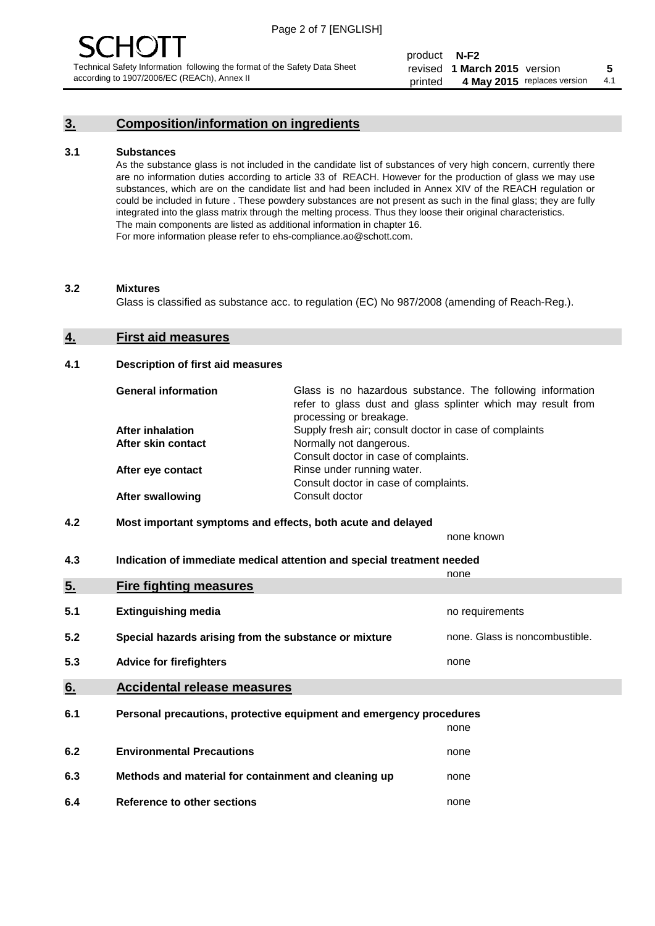## **3. Composition/information on ingredients**

#### **3.1 Substances**

As the substance glass is not included in the candidate list of substances of very high concern, currently there are no information duties according to article 33 of REACH. However for the production of glass we may use substances, which are on the candidate list and had been included in Annex XIV of the REACH regulation or could be included in future . These powdery substances are not present as such in the final glass; they are fully integrated into the glass matrix through the melting process. Thus they loose their original characteristics. The main components are listed as additional information in chapter 16. For more information please refer to ehs-compliance.ao@schott.com.

#### **3.2 Mixtures**

Glass is classified as substance acc. to regulation (EC) No 987/2008 (amending of Reach-Reg.).

#### **4. First aid measures**

#### **4.1 Description of first aid measures**

| <b>General information</b> | Glass is no hazardous substance. The following information<br>refer to glass dust and glass splinter which may result from<br>processing or breakage. |
|----------------------------|-------------------------------------------------------------------------------------------------------------------------------------------------------|
| <b>After inhalation</b>    | Supply fresh air; consult doctor in case of complaints                                                                                                |
| After skin contact         | Normally not dangerous.                                                                                                                               |
|                            | Consult doctor in case of complaints.                                                                                                                 |
| After eye contact          | Rinse under running water.                                                                                                                            |
|                            | Consult doctor in case of complaints.                                                                                                                 |
| <b>After swallowing</b>    | Consult doctor                                                                                                                                        |

#### **4.2 Most important symptoms and effects, both acute and delayed**

none known

**4.3 Indication of immediate medical attention and special treatment needed** 

|     |                                                                     | none                           |
|-----|---------------------------------------------------------------------|--------------------------------|
| 5.  | <b>Fire fighting measures</b>                                       |                                |
| 5.1 | <b>Extinguishing media</b>                                          | no requirements                |
| 5.2 | Special hazards arising from the substance or mixture               | none. Glass is noncombustible. |
| 5.3 | <b>Advice for firefighters</b>                                      | none                           |
| 6.  | <b>Accidental release measures</b>                                  |                                |
| 6.1 | Personal precautions, protective equipment and emergency procedures |                                |
|     |                                                                     | none                           |
| 6.2 | <b>Environmental Precautions</b>                                    | none                           |
| 6.3 | Methods and material for containment and cleaning up                | none                           |
| 6.4 | Reference to other sections                                         | none                           |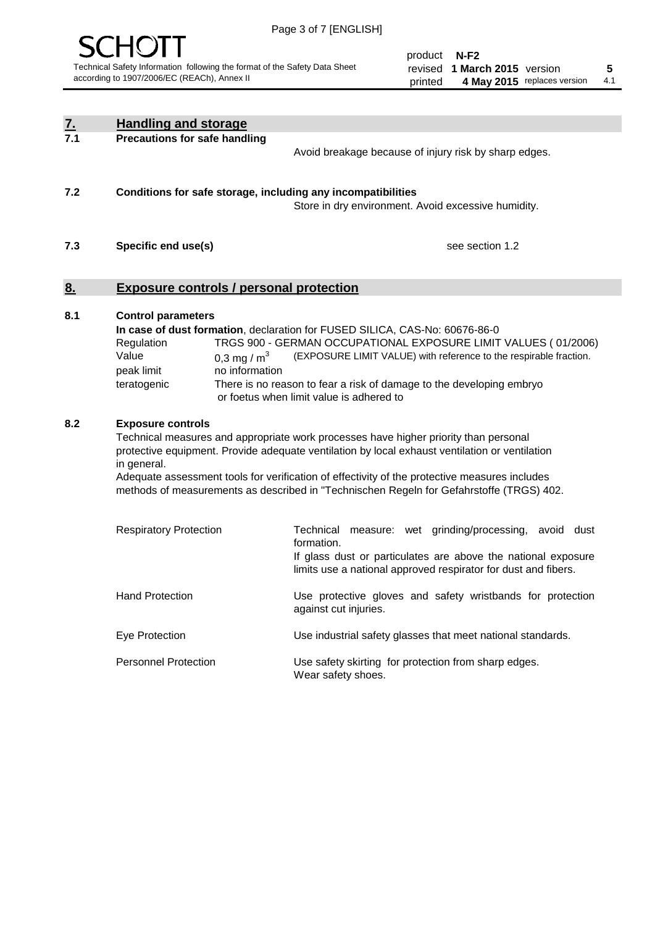

| <u>7.</u><br>7.1 | <b>Handling and storage</b>                                                   |                                 |                                                                                                                                                                                                                                                                                                                                                                                     |
|------------------|-------------------------------------------------------------------------------|---------------------------------|-------------------------------------------------------------------------------------------------------------------------------------------------------------------------------------------------------------------------------------------------------------------------------------------------------------------------------------------------------------------------------------|
|                  | <b>Precautions for safe handling</b>                                          |                                 | Avoid breakage because of injury risk by sharp edges.                                                                                                                                                                                                                                                                                                                               |
| 7.2              |                                                                               |                                 | Conditions for safe storage, including any incompatibilities<br>Store in dry environment. Avoid excessive humidity.                                                                                                                                                                                                                                                                 |
| 7.3              | Specific end use(s)                                                           |                                 | see section 1.2                                                                                                                                                                                                                                                                                                                                                                     |
| <u>8.</u>        | <b>Exposure controls / personal protection</b>                                |                                 |                                                                                                                                                                                                                                                                                                                                                                                     |
| 8.1              | <b>Control parameters</b><br>Regulation<br>Value<br>peak limit<br>teratogenic | 0,3 mg / $m3$<br>no information | In case of dust formation, declaration for FUSED SILICA, CAS-No: 60676-86-0<br>TRGS 900 - GERMAN OCCUPATIONAL EXPOSURE LIMIT VALUES (01/2006)<br>(EXPOSURE LIMIT VALUE) with reference to the respirable fraction.<br>There is no reason to fear a risk of damage to the developing embryo<br>or foetus when limit value is adhered to                                              |
| 8.2              | <b>Exposure controls</b><br>in general.                                       |                                 | Technical measures and appropriate work processes have higher priority than personal<br>protective equipment. Provide adequate ventilation by local exhaust ventilation or ventilation<br>Adequate assessment tools for verification of effectivity of the protective measures includes<br>methods of measurements as described in "Technischen Regeln for Gefahrstoffe (TRGS) 402. |
|                  | <b>Respiratory Protection</b>                                                 |                                 | Technical<br>measure: wet grinding/processing, avoid dust<br>formation.<br>If glass dust or particulates are above the national exposure<br>limits use a national approved respirator for dust and fibers.                                                                                                                                                                          |
|                  | <b>Hand Protection</b>                                                        |                                 | Use protective gloves and safety wristbands for protection<br>against cut injuries.                                                                                                                                                                                                                                                                                                 |
|                  | Eye Protection                                                                |                                 | Use industrial safety glasses that meet national standards.                                                                                                                                                                                                                                                                                                                         |
|                  | <b>Personnel Protection</b>                                                   |                                 | Use safety skirting for protection from sharp edges.<br>Wear safety shoes.                                                                                                                                                                                                                                                                                                          |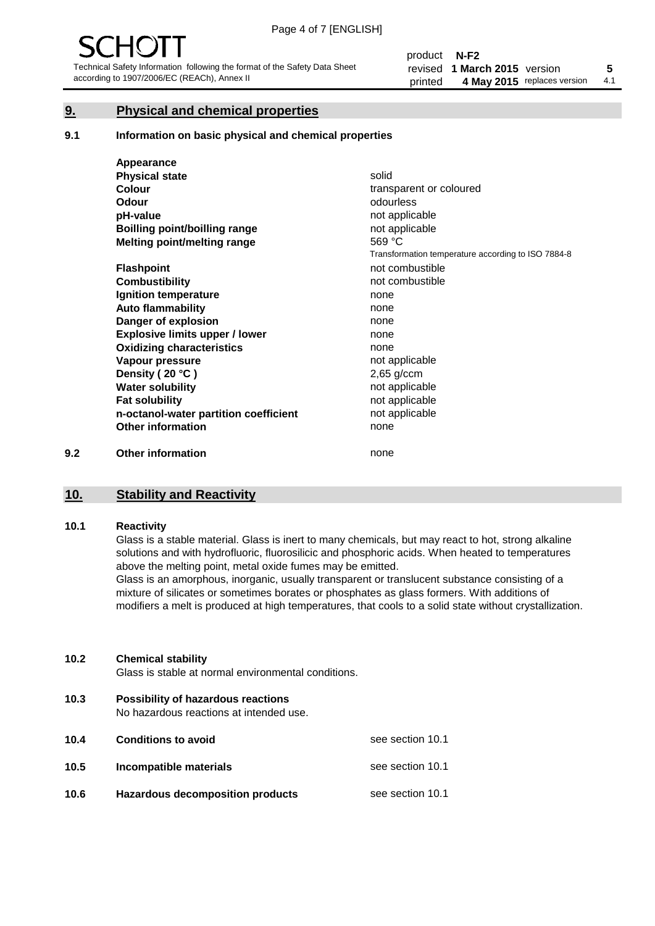#### **9. Physical and chemical properties**

#### **9.1 Information on basic physical and chemical properties**

|     | Appearance                            |                                                    |
|-----|---------------------------------------|----------------------------------------------------|
|     | <b>Physical state</b>                 | solid                                              |
|     | <b>Colour</b>                         | transparent or coloured                            |
|     | <b>Odour</b>                          | odourless                                          |
|     | pH-value                              | not applicable                                     |
|     | Boilling point/boilling range         | not applicable                                     |
|     | Melting point/melting range           | 569 °C                                             |
|     |                                       | Transformation temperature according to ISO 7884-8 |
|     | <b>Flashpoint</b>                     | not combustible                                    |
|     | <b>Combustibility</b>                 | not combustible                                    |
|     | Ignition temperature                  | none                                               |
|     | <b>Auto flammability</b>              | none                                               |
|     | Danger of explosion                   | none                                               |
|     | <b>Explosive limits upper / lower</b> | none                                               |
|     | <b>Oxidizing characteristics</b>      | none                                               |
|     | Vapour pressure                       | not applicable                                     |
|     | Density (20 °C)                       | $2,65$ g/ccm                                       |
|     | <b>Water solubility</b>               | not applicable                                     |
|     | <b>Fat solubility</b>                 | not applicable                                     |
|     | n-octanol-water partition coefficient | not applicable                                     |
|     | <b>Other information</b>              | none                                               |
| 9.2 | <b>Other information</b>              | none                                               |

#### **10. Stability and Reactivity**

#### **10.1 Reactivity**

Glass is a stable material. Glass is inert to many chemicals, but may react to hot, strong alkaline solutions and with hydrofluoric, fluorosilicic and phosphoric acids. When heated to temperatures above the melting point, metal oxide fumes may be emitted.

Glass is an amorphous, inorganic, usually transparent or translucent substance consisting of a mixture of silicates or sometimes borates or phosphates as glass formers. With additions of modifiers a melt is produced at high temperatures, that cools to a solid state without crystallization.

#### **10.2 Chemical stability**

Glass is stable at normal environmental conditions.

**10.3 Possibility of hazardous reactions** 

No hazardous reactions at intended use.

| 10.4 | <b>Conditions to avoid</b>              | see section 10.1 |
|------|-----------------------------------------|------------------|
| 10.5 | Incompatible materials                  | see section 10.1 |
| 10.6 | <b>Hazardous decomposition products</b> | see section 10.1 |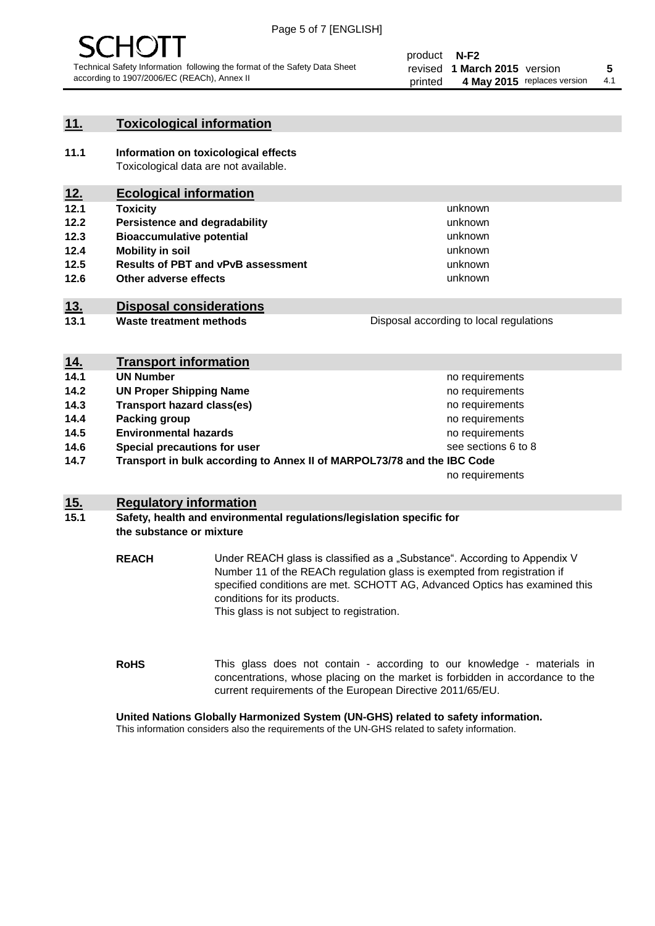

#### **11. Toxicological information**

**11.1 Information on toxicological effects** Toxicological data are not available.

## **12. Ecological information**

- **12.1 Toxicity**
- **12.2 Persistence and degradability**
- **12.3 Bioaccumulative potential**
- **12.4 Mobility in soil**
- **12.5 Results of PBT and vPvB assessment**
- **12.6 Other adverse effects**

#### **13. Disposal considerations**

**13.1 Waste treatment methods**

Disposal according to local regulations

unknown unknown unknown unknown

unknown unknown

| <u>14.</u> | <b>Transport information</b>                                            |                     |
|------------|-------------------------------------------------------------------------|---------------------|
| 14.1       | <b>UN Number</b>                                                        | no requirements     |
| 14.2       | <b>UN Proper Shipping Name</b>                                          | no requirements     |
| 14.3       | <b>Transport hazard class(es)</b>                                       | no requirements     |
| 14.4       | Packing group                                                           | no requirements     |
| 14.5       | <b>Environmental hazards</b>                                            | no requirements     |
| 14.6       | Special precautions for user                                            | see sections 6 to 8 |
| 14.7       | Transport in bulk according to Annex II of MARPOL73/78 and the IBC Code |                     |
|            |                                                                         | no requirements     |

#### **15. Regulatory information**

#### **15.1 Safety, health and environmental regulations/legislation specific for the substance or mixture**

**REACH** Under REACH glass is classified as a "Substance". According to Appendix V Number 11 of the REACh regulation glass is exempted from registration if specified conditions are met. SCHOTT AG, Advanced Optics has examined this conditions for its products. This glass is not subject to registration.

**RoHS** This glass does not contain - according to our knowledge - materials in concentrations, whose placing on the market is forbidden in accordance to the current requirements of the European Directive 2011/65/EU.

#### **United Nations Globally Harmonized System (UN-GHS) related to safety information.**

This information considers also the requirements of the UN-GHS related to safety information.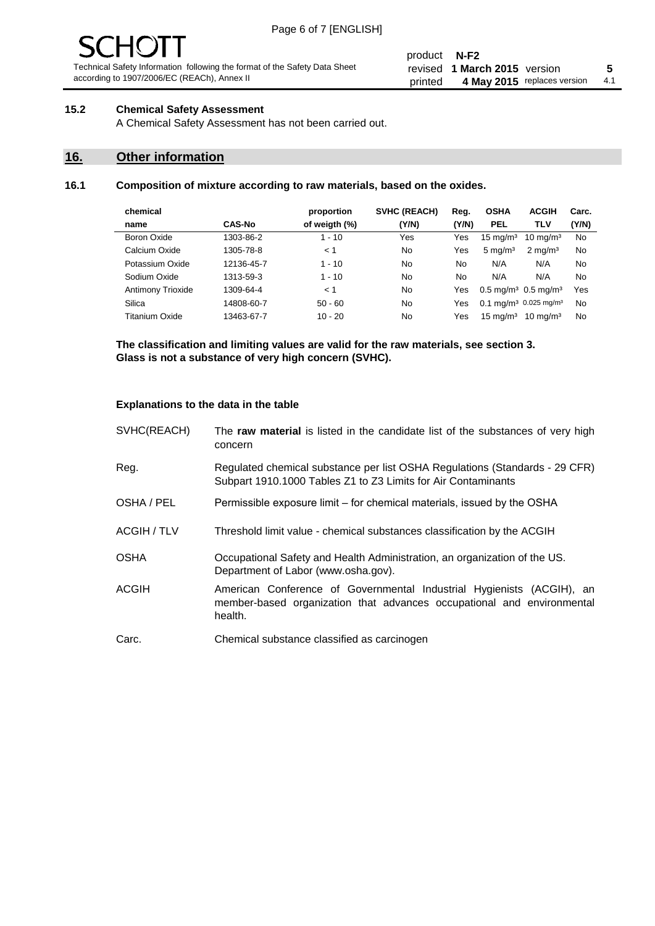# - JF

Technical Safety Information following the format of the Safety Data Sheet according to 1907/2006/EC (REACh), Annex II

#### **15.2 Chemical Safety Assessment**

A Chemical Safety Assessment has not been carried out.

## **16. Other information**

#### **16.1 Composition of mixture according to raw materials, based on the oxides.**

| chemical                 |               | proportion    | <b>SVHC (REACH)</b> | Reg.  | <b>OSHA</b>                                   | <b>ACGIH</b>                                  | Carc. |
|--------------------------|---------------|---------------|---------------------|-------|-----------------------------------------------|-----------------------------------------------|-------|
| name                     | <b>CAS-No</b> | of weigth (%) | (Y/N)               | (Y/N) | <b>PEL</b>                                    | TLV                                           | (Y/N) |
| Boron Oxide              | 1303-86-2     | $1 - 10$      | Yes                 | Yes   | $15 \text{ mg/m}^3$                           | $10 \text{ mg/m}^3$                           | No    |
| Calcium Oxide            | 1305-78-8     | < 1           | No                  | Yes   | $5 \text{ mg/m}^3$                            | $2 \text{ mg/m}^3$                            | No    |
| Potassium Oxide          | 12136-45-7    | $1 - 10$      | No                  | No    | N/A                                           | N/A                                           | No    |
| Sodium Oxide             | 1313-59-3     | $1 - 10$      | No                  | No    | N/A                                           | N/A                                           | No    |
| <b>Antimony Trioxide</b> | 1309-64-4     | < 1           | No                  | Yes   | $0.5 \,\mathrm{mq/m^3}$ 0.5 mg/m <sup>3</sup> |                                               | Yes   |
| Silica                   | 14808-60-7    | $50 - 60$     | No                  | Yes   |                                               | 0.1 mg/m <sup>3</sup> 0.025 mg/m <sup>3</sup> | No    |
| Titanium Oxide           | 13463-67-7    | $10 - 20$     | No                  | Yes   | $15 \text{ mg/m}^3$                           | $10 \text{ mg/m}^3$                           | No    |

**The classification and limiting values are valid for the raw materials, see section 3. Glass is not a substance of very high concern (SVHC).**

#### **Explanations to the data in the table**

| SVHC(REACH) | The raw material is listed in the candidate list of the substances of very high<br>concern                                                                 |
|-------------|------------------------------------------------------------------------------------------------------------------------------------------------------------|
| Reg.        | Regulated chemical substance per list OSHA Regulations (Standards - 29 CFR)<br>Subpart 1910.1000 Tables Z1 to Z3 Limits for Air Contaminants               |
| OSHA / PEL  | Permissible exposure limit – for chemical materials, issued by the OSHA                                                                                    |
| ACGIH / TLV | Threshold limit value - chemical substances classification by the ACGIH                                                                                    |
| <b>OSHA</b> | Occupational Safety and Health Administration, an organization of the US.<br>Department of Labor (www.osha.gov).                                           |
| ACGIH       | American Conference of Governmental Industrial Hygienists (ACGIH), an<br>member-based organization that advances occupational and environmental<br>health. |
| Carc.       | Chemical substance classified as carcinogen                                                                                                                |